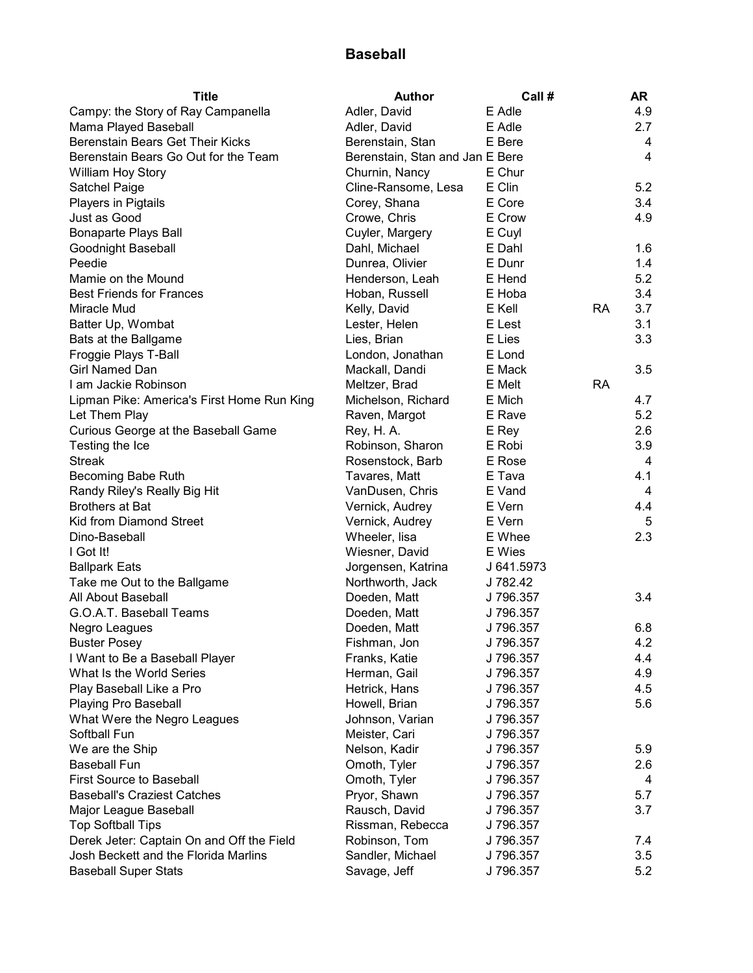## Baseball

| <b>Title</b>                               | <b>Author</b>                   | Call#      |           | AR  |
|--------------------------------------------|---------------------------------|------------|-----------|-----|
| Campy: the Story of Ray Campanella         | Adler, David                    | E Adle     |           | 4.9 |
| Mama Played Baseball                       | Adler, David                    | E Adle     |           | 2.7 |
| Berenstain Bears Get Their Kicks           | Berenstain, Stan                | E Bere     |           | 4   |
| Berenstain Bears Go Out for the Team       | Berenstain, Stan and Jan E Bere |            |           | 4   |
| <b>William Hoy Story</b>                   | Churnin, Nancy                  | E Chur     |           |     |
| Satchel Paige                              | Cline-Ransome, Lesa             | E Clin     |           | 5.2 |
| Players in Pigtails                        | Corey, Shana                    | E Core     |           | 3.4 |
| Just as Good                               | Crowe, Chris                    | E Crow     |           | 4.9 |
| <b>Bonaparte Plays Ball</b>                | Cuyler, Margery                 | E Cuyl     |           |     |
| Goodnight Baseball                         | Dahl, Michael                   | E Dahl     |           | 1.6 |
| Peedie                                     | Dunrea, Olivier                 | E Dunr     |           | 1.4 |
| Mamie on the Mound                         | Henderson, Leah                 | E Hend     |           | 5.2 |
| <b>Best Friends for Frances</b>            | Hoban, Russell                  | E Hoba     |           | 3.4 |
| Miracle Mud                                | Kelly, David                    | E Kell     | <b>RA</b> | 3.7 |
| Batter Up, Wombat                          | Lester, Helen                   | E Lest     |           | 3.1 |
| Bats at the Ballgame                       | Lies, Brian                     | E Lies     |           | 3.3 |
| Froggie Plays T-Ball                       | London, Jonathan                | E Lond     |           |     |
| <b>Girl Named Dan</b>                      | Mackall, Dandi                  | E Mack     |           | 3.5 |
| I am Jackie Robinson                       | Meltzer, Brad                   | E Melt     | <b>RA</b> |     |
| Lipman Pike: America's First Home Run King | Michelson, Richard              | E Mich     |           | 4.7 |
| Let Them Play                              | Raven, Margot                   | E Rave     |           | 5.2 |
| Curious George at the Baseball Game        | Rey, H. A.                      | E Rey      |           | 2.6 |
| Testing the Ice                            | Robinson, Sharon                | E Robi     |           | 3.9 |
| <b>Streak</b>                              | Rosenstock, Barb                | E Rose     |           | 4   |
| Becoming Babe Ruth                         | Tavares, Matt                   | E Tava     |           | 4.1 |
| Randy Riley's Really Big Hit               | VanDusen, Chris                 | E Vand     |           | 4   |
| <b>Brothers at Bat</b>                     | Vernick, Audrey                 | E Vern     |           | 4.4 |
| Kid from Diamond Street                    | Vernick, Audrey                 | E Vern     |           | 5   |
| Dino-Baseball                              | Wheeler, lisa                   | E Whee     |           | 2.3 |
| I Got It!                                  | Wiesner, David                  | E Wies     |           |     |
| <b>Ballpark Eats</b>                       | Jorgensen, Katrina              | J 641.5973 |           |     |
| Take me Out to the Ballgame                | Northworth, Jack                | J 782.42   |           |     |
| All About Baseball                         | Doeden, Matt                    | J 796.357  |           | 3.4 |
| G.O.A.T. Baseball Teams                    | Doeden, Matt                    | J 796.357  |           |     |
| Negro Leagues                              | Doeden, Matt                    | J 796.357  |           | 6.8 |
| <b>Buster Posey</b>                        | Fishman, Jon                    | J 796.357  |           | 4.2 |
| I Want to Be a Baseball Player             | Franks, Katie                   | J 796.357  |           | 4.4 |
| What Is the World Series                   | Herman, Gail                    | J 796.357  |           | 4.9 |
| Play Baseball Like a Pro                   | Hetrick, Hans                   | J 796.357  |           | 4.5 |
| Playing Pro Baseball                       | Howell, Brian                   | J 796.357  |           | 5.6 |
| What Were the Negro Leagues                | Johnson, Varian                 | J 796.357  |           |     |
| Softball Fun                               | Meister, Cari                   | J 796.357  |           |     |
| We are the Ship                            | Nelson, Kadir                   | J 796.357  |           | 5.9 |
| <b>Baseball Fun</b>                        | Omoth, Tyler                    | J 796.357  |           | 2.6 |
| <b>First Source to Baseball</b>            | Omoth, Tyler                    | J 796.357  |           | 4   |
| <b>Baseball's Craziest Catches</b>         | Pryor, Shawn                    | J 796.357  |           | 5.7 |
| Major League Baseball                      | Rausch, David                   | J 796.357  |           | 3.7 |
| <b>Top Softball Tips</b>                   | Rissman, Rebecca                | J 796.357  |           |     |
| Derek Jeter: Captain On and Off the Field  | Robinson, Tom                   | J 796.357  |           | 7.4 |
| Josh Beckett and the Florida Marlins       | Sandler, Michael                | J 796.357  |           | 3.5 |
| <b>Baseball Super Stats</b>                | Savage, Jeff                    | J 796.357  |           | 5.2 |
|                                            |                                 |            |           |     |